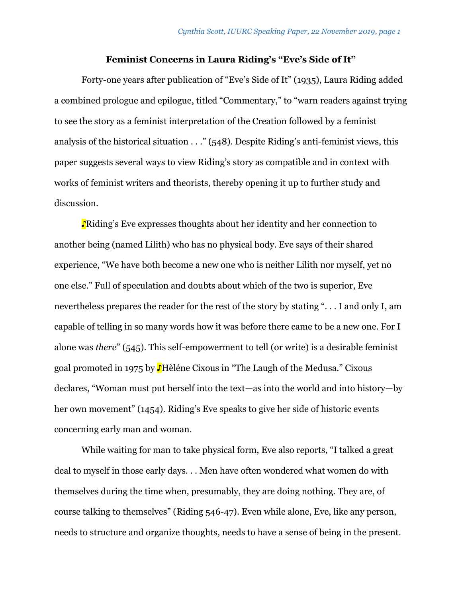## **Feminist Concerns in Laura Riding's "Eve's Side of It"**

Forty-one years after publication of "Eve's Side of It" (1935), Laura Riding added a combined prologue and epilogue, titled "Commentary," to "warn readers against trying to see the story as a feminist interpretation of the Creation followed by a feminist analysis of the historical situation  $\dots$ " (548). Despite Riding's anti-feminist views, this paper suggests several ways to view Riding's story as compatible and in context with works of feminist writers and theorists, thereby opening it up to further study and discussion.

♪Riding's Eve expresses thoughts about her identity and her connection to another being (named Lilith) who has no physical body. Eve says of their shared experience, "We have both become a new one who is neither Lilith nor myself, yet no one else." Full of speculation and doubts about which of the two is superior, Eve nevertheless prepares the reader for the rest of the story by stating ". . . I and only I, am capable of telling in so many words how it was before there came to be a new one. For I alone was *there*" (545). This self-empowerment to tell (or write) is a desirable feminist goal promoted in 1975 by ♪Hèléne Cixous in "The Laugh of the Medusa." Cixous declares, "Woman must put herself into the text—as into the world and into history—by her own movement" (1454). Riding's Eve speaks to give her side of historic events concerning early man and woman.

While waiting for man to take physical form, Eve also reports, "I talked a great deal to myself in those early days. . . Men have often wondered what women do with themselves during the time when, presumably, they are doing nothing. They are, of course talking to themselves" (Riding 546-47). Even while alone, Eve, like any person, needs to structure and organize thoughts, needs to have a sense of being in the present.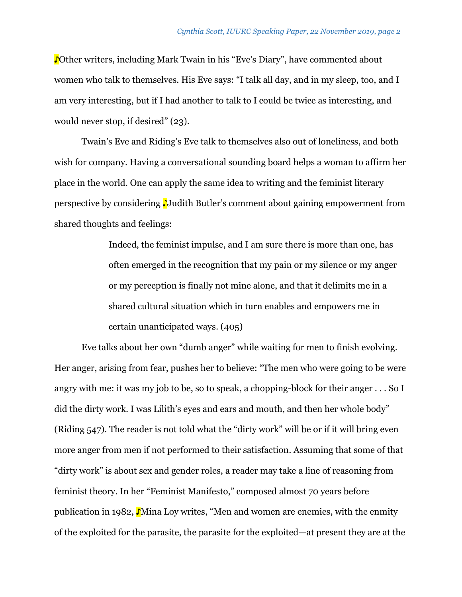♪Other writers, including Mark Twain in his "Eve's Diary", have commented about women who talk to themselves. His Eve says: "I talk all day, and in my sleep, too, and I am very interesting, but if I had another to talk to I could be twice as interesting, and would never stop, if desired" (23).

Twain's Eve and Riding's Eve talk to themselves also out of loneliness, and both wish for company. Having a conversational sounding board helps a woman to affirm her place in the world. One can apply the same idea to writing and the feminist literary perspective by considering ♪Judith Butler's comment about gaining empowerment from shared thoughts and feelings:

> Indeed, the feminist impulse, and I am sure there is more than one, has often emerged in the recognition that my pain or my silence or my anger or my perception is finally not mine alone, and that it delimits me in a shared cultural situation which in turn enables and empowers me in certain unanticipated ways. (405)

Eve talks about her own "dumb anger" while waiting for men to finish evolving. Her anger, arising from fear, pushes her to believe: "The men who were going to be were angry with me: it was my job to be, so to speak, a chopping-block for their anger . . . So I did the dirty work. I was Lilith's eyes and ears and mouth, and then her whole body" (Riding 547). The reader is not told what the "dirty work" will be or if it will bring even more anger from men if not performed to their satisfaction. Assuming that some of that "dirty work" is about sex and gender roles, a reader may take a line of reasoning from feminist theory. In her "Feminist Manifesto," composed almost 70 years before publication in 1982, Nina Loy writes, "Men and women are enemies, with the enmity of the exploited for the parasite, the parasite for the exploited—at present they are at the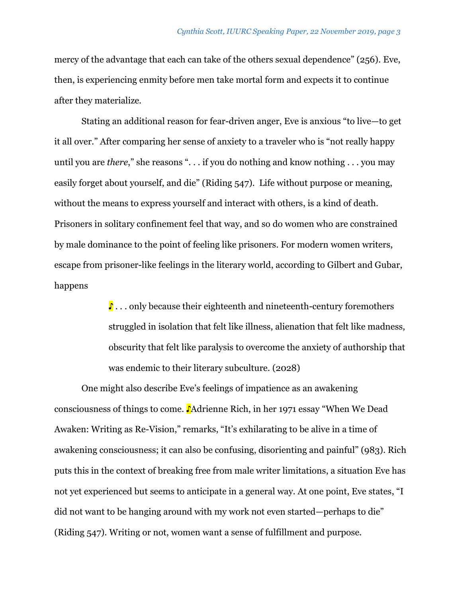mercy of the advantage that each can take of the others sexual dependence" (256). Eve, then, is experiencing enmity before men take mortal form and expects it to continue after they materialize.

Stating an additional reason for fear-driven anger, Eve is anxious "to live—to get it all over." After comparing her sense of anxiety to a traveler who is "not really happy until you are *there*," she reasons ". . . if you do nothing and know nothing . . . you may easily forget about yourself, and die" (Riding 547). Life without purpose or meaning, without the means to express yourself and interact with others, is a kind of death. Prisoners in solitary confinement feel that way, and so do women who are constrained by male dominance to the point of feeling like prisoners. For modern women writers, escape from prisoner-like feelings in the literary world, according to Gilbert and Gubar, happens

> ♪ . . . only because their eighteenth and nineteenth-century foremothers struggled in isolation that felt like illness, alienation that felt like madness, obscurity that felt like paralysis to overcome the anxiety of authorship that was endemic to their literary subculture. (2028)

One might also describe Eve's feelings of impatience as an awakening consciousness of things to come. ♪Adrienne Rich, in her 1971 essay "When We Dead Awaken: Writing as Re-Vision," remarks, "It's exhilarating to be alive in a time of awakening consciousness; it can also be confusing, disorienting and painful" (983). Rich puts this in the context of breaking free from male writer limitations, a situation Eve has not yet experienced but seems to anticipate in a general way. At one point, Eve states, "I did not want to be hanging around with my work not even started—perhaps to die" (Riding 547). Writing or not, women want a sense of fulfillment and purpose.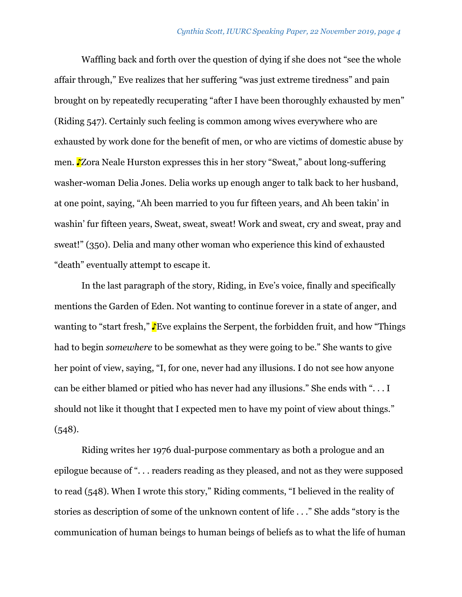Waffling back and forth over the question of dying if she does not "see the whole affair through," Eve realizes that her suffering "was just extreme tiredness" and pain brought on by repeatedly recuperating "after I have been thoroughly exhausted by men" (Riding 547). Certainly such feeling is common among wives everywhere who are exhausted by work done for the benefit of men, or who are victims of domestic abuse by men. ♪Zora Neale Hurston expresses this in her story "Sweat," about long-suffering washer-woman Delia Jones. Delia works up enough anger to talk back to her husband, at one point, saying, "Ah been married to you fur fifteen years, and Ah been takin' in washin' fur fifteen years, Sweat, sweat, sweat! Work and sweat, cry and sweat, pray and sweat!" (350). Delia and many other woman who experience this kind of exhausted "death" eventually attempt to escape it.

In the last paragraph of the story, Riding, in Eve's voice, finally and specifically mentions the Garden of Eden. Not wanting to continue forever in a state of anger, and wanting to "start fresh," ♪Eve explains the Serpent, the forbidden fruit, and how "Things had to begin *somewhere* to be somewhat as they were going to be." She wants to give her point of view, saying, "I, for one, never had any illusions. I do not see how anyone can be either blamed or pitied who has never had any illusions." She ends with ". . . I should not like it thought that I expected men to have my point of view about things."  $(548).$ 

Riding writes her 1976 dual-purpose commentary as both a prologue and an epilogue because of ". . . readers reading as they pleased, and not as they were supposed to read (548). When I wrote this story," Riding comments, "I believed in the reality of stories as description of some of the unknown content of life . . ." She adds "story is the communication of human beings to human beings of beliefs as to what the life of human